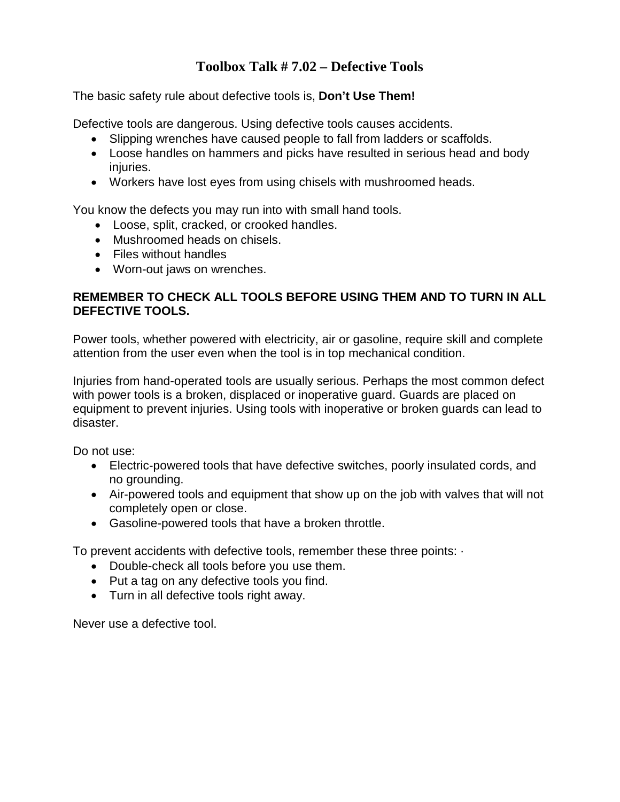## **Toolbox Talk # 7.02 – Defective Tools**

The basic safety rule about defective tools is, **Don't Use Them!**

Defective tools are dangerous. Using defective tools causes accidents.

- Slipping wrenches have caused people to fall from ladders or scaffolds.
- Loose handles on hammers and picks have resulted in serious head and body injuries.
- Workers have lost eyes from using chisels with mushroomed heads.

You know the defects you may run into with small hand tools.

- Loose, split, cracked, or crooked handles.
- Mushroomed heads on chisels.
- Files without handles
- Worn-out jaws on wrenches.

## **REMEMBER TO CHECK ALL TOOLS BEFORE USING THEM AND TO TURN IN ALL DEFECTIVE TOOLS.**

Power tools, whether powered with electricity, air or gasoline, require skill and complete attention from the user even when the tool is in top mechanical condition.

Injuries from hand-operated tools are usually serious. Perhaps the most common defect with power tools is a broken, displaced or inoperative guard. Guards are placed on equipment to prevent injuries. Using tools with inoperative or broken guards can lead to disaster.

Do not use:

- Electric-powered tools that have defective switches, poorly insulated cords, and no grounding.
- Air-powered tools and equipment that show up on the job with valves that will not completely open or close.
- Gasoline-powered tools that have a broken throttle.

To prevent accidents with defective tools, remember these three points: ·

- Double-check all tools before you use them.
- Put a tag on any defective tools you find.
- Turn in all defective tools right away.

Never use a defective tool.